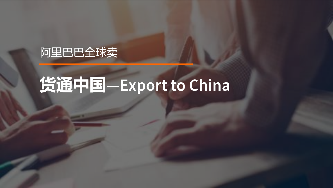

# 货通中国-Export to China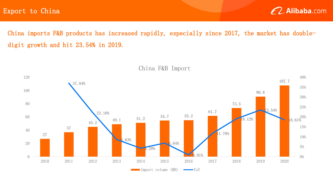Export to China



China imports F&B products has increased rapidly, especially since 2017, the market has doubledigit growth and hit 23.54% in 2019.



China F&B Import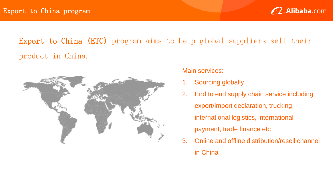

# Export to China (ETC) program aims to help global suppliers sell their product in China.



### Main services:

- 1. Sourcing globally
- 2. End to end supply chain service including export/import declaration, trucking, international logistics, international payment, trade finance etc
- 3. Online and offline distribution/resell channel in China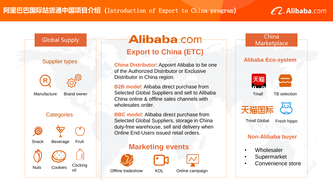



### **Alibaba** com **Export to China (ETC)**

**China Distributor**: Appoint Alibaba to be one of the Authorized Distributor or Exclusive Distributor in China region.

**B2B model**: Alibaba direct purchase from Selected Global Suppliers and sell to Alibaba China online & offline sales channels with wholesales order.

**BBC model**: Alibaba direct purchase from Selected Global Suppliers, storage in China duty-free warehouse, sell and delivery when Online End-Users issued retail orders.

### **Marketing events**





### Offline tradeshow KOL Online campaign

## China **Marketplace Alibaba Eco-system** 天猫  $\mathbf{a} \cdot \mathbf{a}$ Tmall TB selection 天猫国 Tmall Global Fresh hippo **Non-Alibaba buyer Wholesaler Supermarket** Convenience store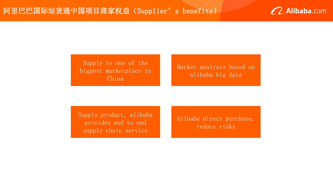

Supply to one of the biggest marketplace in China

Market analysis based on alibaba big data

Supply product, alibaba provides end to end supply chain service

Alibaba direct purchase, reduce risks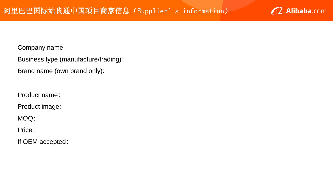

Company name:

Business type (manufacture/trading):

Brand name (own brand only):

Product name:

Product image:

MOQ:

Price:

If OEM accepted: